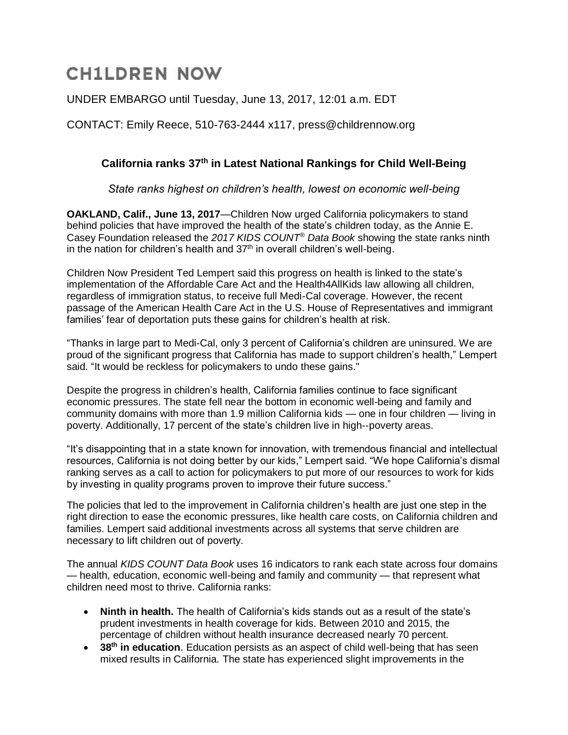# **CH1LDREN NOW**

## UNDER EMBARGO until Tuesday, June 13, 2017, 12:01 a.m. EDT

CONTACT: Emily Reece, 510-763-2444 x117, press@childrennow.org

## **California ranks 37th in Latest National Rankings for Child Well-Being**

*State ranks highest on children's health, lowest on economic well-being*

**OAKLAND, Calif., June 13, 2017**—Children Now urged California policymakers to stand behind policies that have improved the health of the state's children today, as the Annie E. Casey Foundation released the *2017 KIDS COUNT® Data Book* showing the state ranks ninth in the nation for children's health and  $37<sup>th</sup>$  in overall children's well-being.

Children Now President Ted Lempert said this progress on health is linked to the state's implementation of the Affordable Care Act and the Health4AllKids law allowing all children, regardless of immigration status, to receive full Medi-Cal coverage. However, the recent passage of the American Health Care Act in the U.S. House of Representatives and immigrant families' fear of deportation puts these gains for children's health at risk.

"Thanks in large part to Medi-Cal, only 3 percent of California's children are uninsured. We are proud of the significant progress that California has made to support children's health," Lempert said. "It would be reckless for policymakers to undo these gains."

Despite the progress in children's health, California families continue to face significant economic pressures. The state fell near the bottom in economic well-being and family and community domains with more than 1.9 million California kids — one in four children — living in poverty. Additionally, 17 percent of the state's children live in high--poverty areas.

"It's disappointing that in a state known for innovation, with tremendous financial and intellectual resources, California is not doing better by our kids," Lempert said. "We hope California's dismal ranking serves as a call to action for policymakers to put more of our resources to work for kids by investing in quality programs proven to improve their future success."

The policies that led to the improvement in California children's health are just one step in the right direction to ease the economic pressures, like health care costs, on California children and families. Lempert said additional investments across all systems that serve children are necessary to lift children out of poverty.

The annual *KIDS COUNT Data Book* uses 16 indicators to rank each state across four domains — health, education, economic well-being and family and community — that represent what children need most to thrive. California ranks:

- **Ninth in health.** The health of California's kids stands out as a result of the state's prudent investments in health coverage for kids. Between 2010 and 2015, the percentage of children without health insurance decreased nearly 70 percent.
- **38th in education**. Education persists as an aspect of child well-being that has seen mixed results in California. The state has experienced slight improvements in the